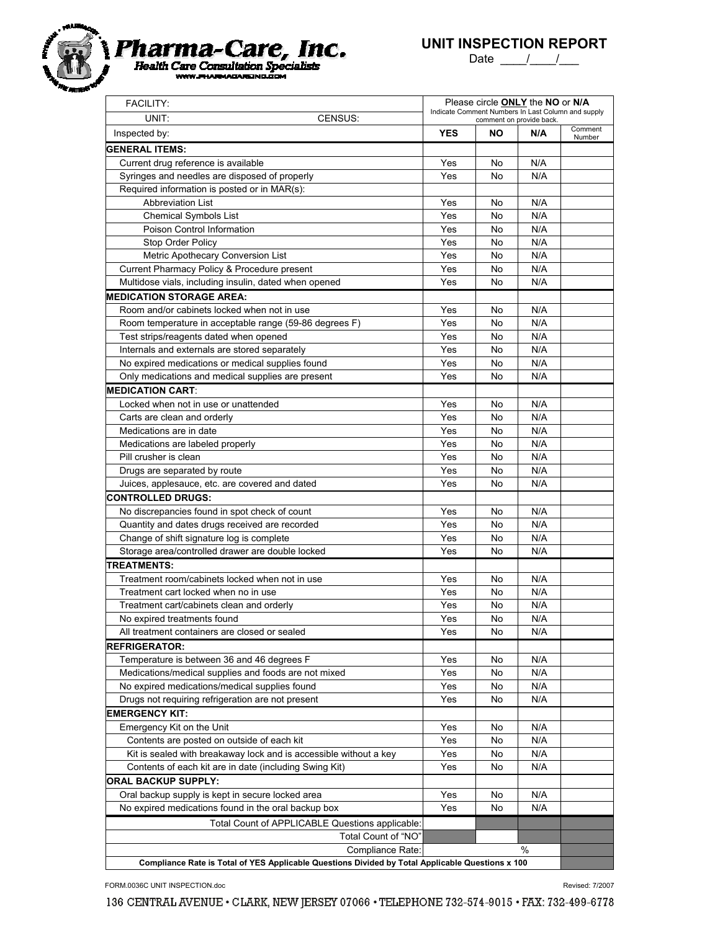

Date  $\frac{1}{\sqrt{2}}$ 

| <b>FACILITY:</b><br>UNIT:<br>CENSUS:                                                             | Please circle <b>ONLY</b> the NO or N/A<br>Indicate Comment Numbers In Last Column and supply<br>comment on provide back. |          |            |                   |
|--------------------------------------------------------------------------------------------------|---------------------------------------------------------------------------------------------------------------------------|----------|------------|-------------------|
| Inspected by:                                                                                    | <b>YES</b>                                                                                                                | ΝO       | N/A        | Comment<br>Number |
| <b>GENERAL ITEMS:</b>                                                                            |                                                                                                                           |          |            |                   |
| Current drug reference is available                                                              | Yes                                                                                                                       | No       | N/A        |                   |
| Syringes and needles are disposed of properly                                                    | Yes                                                                                                                       | No       | N/A        |                   |
| Required information is posted or in MAR(s):                                                     |                                                                                                                           |          |            |                   |
| <b>Abbreviation List</b>                                                                         | Yes                                                                                                                       | No       | N/A        |                   |
| <b>Chemical Symbols List</b>                                                                     | Yes                                                                                                                       | No       | N/A        |                   |
| Poison Control Information                                                                       | Yes                                                                                                                       | No       | N/A        |                   |
| Stop Order Policy                                                                                | Yes                                                                                                                       | No       | N/A        |                   |
| Metric Apothecary Conversion List                                                                | Yes                                                                                                                       | No       | N/A        |                   |
| Current Pharmacy Policy & Procedure present                                                      | Yes                                                                                                                       | No       | N/A        |                   |
| Multidose vials, including insulin, dated when opened                                            | Yes                                                                                                                       | No       | N/A        |                   |
| <b>MEDICATION STORAGE AREA:</b>                                                                  |                                                                                                                           |          |            |                   |
| Room and/or cabinets locked when not in use                                                      | Yes                                                                                                                       | No       | N/A        |                   |
| Room temperature in acceptable range (59-86 degrees F)                                           | Yes                                                                                                                       | No       | N/A        |                   |
| Test strips/reagents dated when opened                                                           | Yes                                                                                                                       | No       | N/A        |                   |
| Internals and externals are stored separately                                                    | Yes                                                                                                                       | No       | N/A        |                   |
| No expired medications or medical supplies found                                                 | Yes                                                                                                                       | No       | N/A        |                   |
| Only medications and medical supplies are present                                                | Yes                                                                                                                       | No       | N/A        |                   |
| <b>MEDICATION CART</b>                                                                           |                                                                                                                           |          |            |                   |
| Locked when not in use or unattended                                                             | Yes                                                                                                                       | No       | N/A        |                   |
| Carts are clean and orderly                                                                      | Yes                                                                                                                       | No       | N/A        |                   |
| Medications are in date                                                                          | Yes                                                                                                                       | No       | N/A        |                   |
| Medications are labeled properly                                                                 | Yes                                                                                                                       | No       | N/A        |                   |
| Pill crusher is clean                                                                            | Yes                                                                                                                       | No       | N/A        |                   |
| Drugs are separated by route                                                                     | Yes                                                                                                                       | No       | N/A        |                   |
| Juices, applesauce, etc. are covered and dated                                                   | Yes                                                                                                                       | No       | N/A        |                   |
| <b>CONTROLLED DRUGS:</b>                                                                         |                                                                                                                           |          |            |                   |
| No discrepancies found in spot check of count                                                    | Yes                                                                                                                       | No       | N/A        |                   |
| Quantity and dates drugs received are recorded<br>Change of shift signature log is complete      | Yes<br>Yes                                                                                                                | No<br>No | N/A<br>N/A |                   |
| Storage area/controlled drawer are double locked                                                 | Yes                                                                                                                       | No       | N/A        |                   |
| <b>TREATMENTS:</b>                                                                               |                                                                                                                           |          |            |                   |
| Treatment room/cabinets locked when not in use                                                   | Yes                                                                                                                       | No       | N/A        |                   |
| Treatment cart locked when no in use                                                             | Yes                                                                                                                       | No       | N/A        |                   |
| Treatment cart/cabinets clean and orderly                                                        | Yes                                                                                                                       | No       | N/A        |                   |
| No expired treatments found                                                                      | Yes                                                                                                                       | No.      | N/A        |                   |
| All treatment containers are closed or sealed                                                    | Yes                                                                                                                       | No       | N/A        |                   |
| <b>REFRIGERATOR:</b>                                                                             |                                                                                                                           |          |            |                   |
| Temperature is between 36 and 46 degrees F                                                       | Yes                                                                                                                       | No       | N/A        |                   |
| Medications/medical supplies and foods are not mixed                                             | Yes                                                                                                                       | No       | N/A        |                   |
| No expired medications/medical supplies found                                                    | Yes                                                                                                                       | No       | N/A        |                   |
| Drugs not requiring refrigeration are not present                                                | Yes                                                                                                                       | No       | N/A        |                   |
| <b>EMERGENCY KIT:</b>                                                                            |                                                                                                                           |          |            |                   |
| Emergency Kit on the Unit                                                                        | Yes                                                                                                                       | No       | N/A        |                   |
| Contents are posted on outside of each kit                                                       | Yes                                                                                                                       | No       | N/A        |                   |
| Kit is sealed with breakaway lock and is accessible without a key                                | Yes                                                                                                                       | No       | N/A        |                   |
| Contents of each kit are in date (including Swing Kit)                                           | Yes                                                                                                                       | No       | N/A        |                   |
| <b>ORAL BACKUP SUPPLY:</b>                                                                       |                                                                                                                           |          |            |                   |
| Oral backup supply is kept in secure locked area                                                 | Yes                                                                                                                       | No       | N/A        |                   |
| No expired medications found in the oral backup box                                              | Yes                                                                                                                       | No       | N/A        |                   |
| Total Count of APPLICABLE Questions applicable:                                                  |                                                                                                                           |          |            |                   |
| Total Count of "NO"                                                                              |                                                                                                                           |          |            |                   |
| Compliance Rate:                                                                                 |                                                                                                                           |          | %          |                   |
| Compliance Rate is Total of YES Applicable Questions Divided by Total Applicable Questions x 100 |                                                                                                                           |          |            |                   |

FORM.0036C UNIT INSPECTION.doc Revised: 7/2007

136 CENTRAL AVENUE . CLARK, NEW JERSEY 07066 . TELEPHONE 732-574-9015 . FAX: 732-499-6778